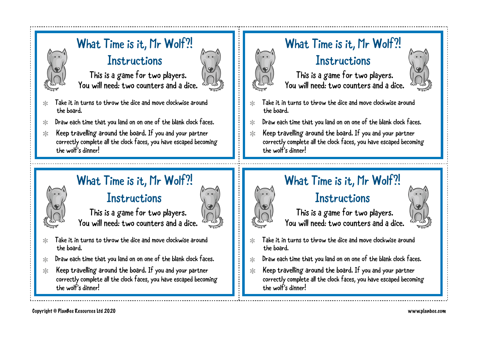

#### What Time is it, Mr Wolf?! Instructions

This is a game for two players. You will need: two counters and a dice.



- Take it in turns to throw the dice and move clockwise around the board.
- Draw each time that you land on on one of the blank clock faces.
- Keep travelling around the board. If you and your partner correctly complete all the clock faces, you have escaped becoming the wolf's dinner!

#### What Time is it, Mr Wolf?! **Instructions**



This is a game for two players. You will need: two counters and a dice.



- Take it in turns to throw the dice and move clockwise around the board.
- Draw each time that you land on on one of the blank clock faces.  $\frac{1}{2}$
- Keep travelling around the board. If you and your partner  $\star$ correctly complete all the clock faces, you have escaped becoming the wolf's dinner!

# What Time is it, Mr Wolf?!

#### **Instructions**



This is a game for two players. You will need: two counters and a dice.

- Take it in turns to throw the dice and move clockwise around  $\star$ the board.
- Draw each time that you land on on one of the blank clock faces.
- Keep travelling around the board. If you and your partner correctly complete all the clock faces, you have escaped becoming the wolf's dinner!



### What Time is it, Mr Wolf?!

#### Instructions



- 
- Take it in turns to throw the dice and move clockwise around  $\times$ the board.
- Draw each time that you land on on one of the blank clock faces.  $\ast$
- Keep travelling around the board. If you and your partner  $\star$ correctly complete all the clock faces, you have escaped becoming the wolf's dinner!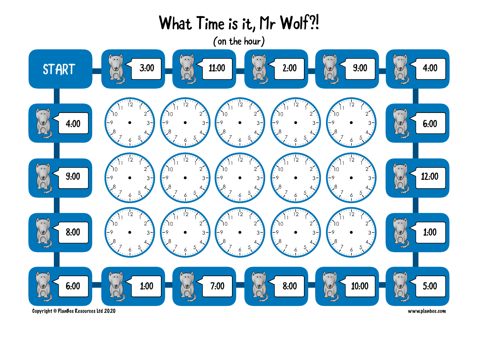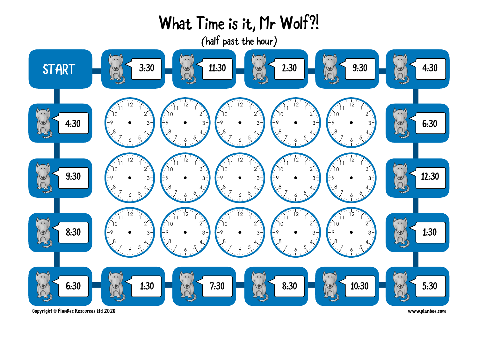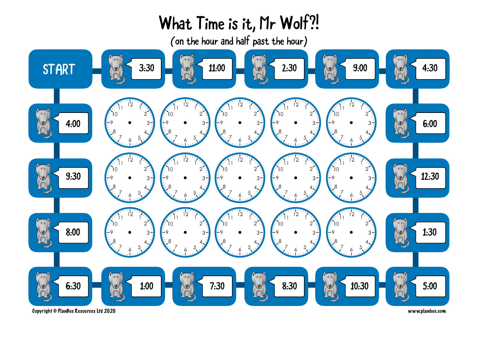(on the hour and half past the hour)

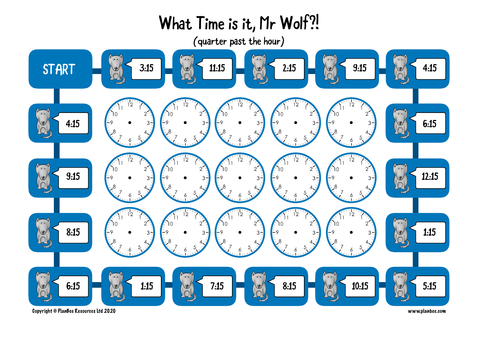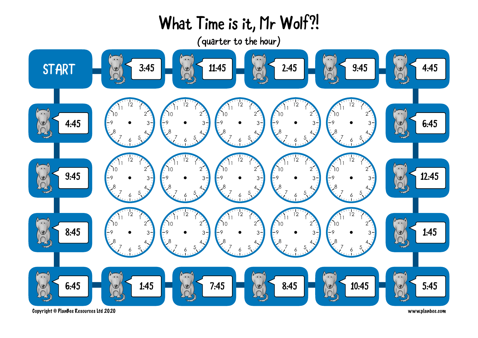#### What Time is it, Mr Wolf?! (quarter to the hour)START 3:45 11:45 2:45 9:45 4:45 4:45 6:45  $3 3 \cap$ 9:45 12:45  $3 3 -$ 8:45 1:45  $3 3 -$ 6:45 1:45 **8:45 7:45 7:45 8:45 8:45 10:45 8:45** 8:45 Copyright © PlanBee Resources Ltd 2020 www.planbee.com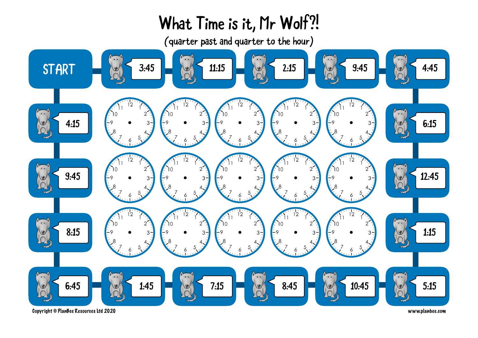(quarter past and quarter to the hour)

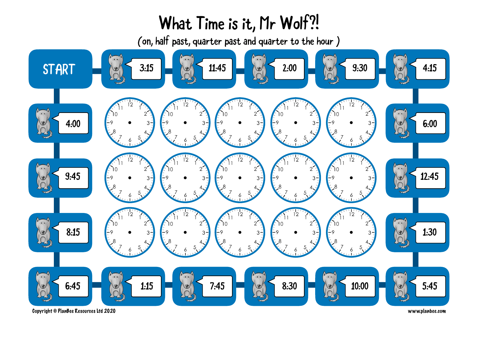(on, half past, quarter past and quarter to the hour )

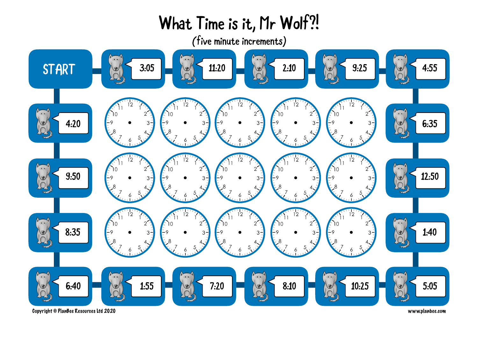